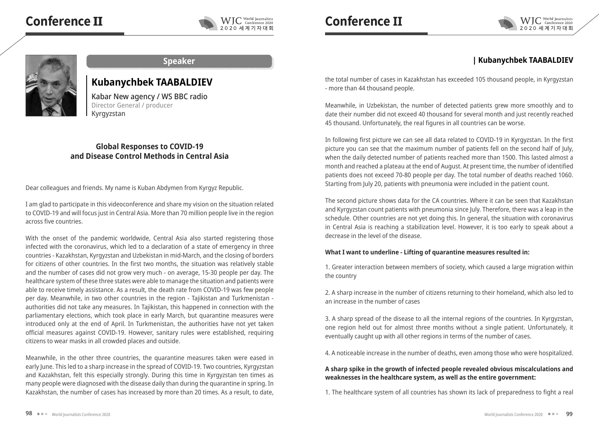# **Conference Ⅱ**





#### **Speaker**

# **Kubanychbek TAABALDIEV**

Kabar New agency / WS BBC radio Director General / producer Kyrgyzstan

## **Global Responses to COVID-19 and Disease Control Methods in Central Asia**

Dear colleagues and friends. My name is Kuban Abdymen from Kyrgyz Republic.

I am glad to participate in this videoconference and share my vision on the situation related to COVID-19 and will focus just in Central Asia. More than 70 million people live in the region across five countries.

With the onset of the pandemic worldwide, Central Asia also started registering those infected with the coronavirus, which led to a declaration of a state of emergency in three countries - Kazakhstan, Kyrgyzstan and Uzbekistan in mid-March, and the closing of borders for citizens of other countries. In the first two months, the situation was relatively stable and the number of cases did not grow very much - on average, 15-30 people per day. The healthcare system of these three states were able to manage the situation and patients were able to receive timely assistance. As a result, the death rate from COVID-19 was few people per day. Meanwhile, in two other countries in the region - Tajikistan and Turkmenistan authorities did not take any measures. In Tajikistan, this happened in connection with the parliamentary elections, which took place in early March, but quarantine measures were introduced only at the end of April. In Turkmenistan, the authorities have not yet taken official measures against COVID-19. However, sanitary rules were established, requiring citizens to wear masks in all crowded places and outside.

Meanwhile, in the other three countries, the quarantine measures taken were eased in early June. This led to a sharp increase in the spread of COVID-19. Two countries, Kyrgyzstan and Kazakhstan, felt this especially strongly. During this time in Kyrgyzstan ten times as many people were diagnosed with the disease daily than during the quarantine in spring. In Kazakhstan, the number of cases has increased by more than 20 times. As a result, to date,

WIC World Journalists 2020 세계기자대회

# **| Kubanychbek TAABALDIEV**

the total number of cases in Kazakhstan has exceeded 105 thousand people, in Kyrgyzstan - more than 44 thousand people.

Meanwhile, in Uzbekistan, the number of detected patients grew more smoothly and to date their number did not exceed 40 thousand for several month and just recently reached 45 thousand. Unfortunately, the real figures in all countries can be worse.

In following first picture we can see all data related to COVID-19 in Kyrgyzstan. In the first picture you can see that the maximum number of patients fell on the second half of July, when the daily detected number of patients reached more than 1500. This lasted almost a month and reached a plateau at the end of August. At present time, the number of identified patients does not exceed 70-80 people per day. The total number of deaths reached 1060. Starting from July 20, patients with pneumonia were included in the patient count.

The second picture shows data for the CA countries. Where it can be seen that Kazakhstan and Kyrgyzstan count patients with pneumonia since July. Therefore, there was a leap in the schedule. Other countries are not yet doing this. In general, the situation with coronavirus in Central Asia is reaching a stabilization level. However, it is too early to speak about a decrease in the level of the disease.

### **What I want to underline - Lifting of quarantine measures resulted in:**

1. Greater interaction between members of society, which caused a large migration within the country

2. A sharp increase in the number of citizens returning to their homeland, which also led to an increase in the number of cases

3. A sharp spread of the disease to all the internal regions of the countries. In Kyrgyzstan, one region held out for almost three months without a single patient. Unfortunately, it eventually caught up with all other regions in terms of the number of cases.

4. A noticeable increase in the number of deaths, even among those who were hospitalized.

#### **A sharp spike in the growth of infected people revealed obvious miscalculations and weaknesses in the healthcare system, as well as the entire government:**

1. The healthcare system of all countries has shown its lack of preparedness to fight a real